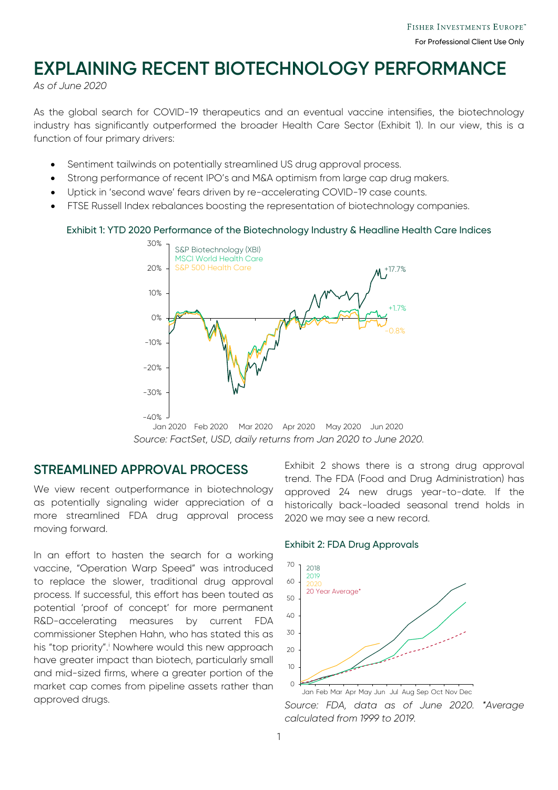# **EXPLAINING RECENT BIOTECHNOLOGY PERFORMANCE**

*As of June 2020*

As the global search for COVID-19 therapeutics and an eventual vaccine intensifies, the biotechnology industry has significantly outperformed the broader Health Care Sector (Exhibit 1). In our view, this is a function of four primary drivers:

- Sentiment tailwinds on potentially streamlined US drug approval process.
- Strong performance of recent IPO's and M&A optimism from large cap drug makers.
- Uptick in 'second wave' fears driven by re-accelerating COVID-19 case counts.
- FTSE Russell Index rebalances boosting the representation of biotechnology companies.

#### Exhibit 1: YTD 2020 Performance of the Biotechnology Industry & Headline Health Care Indices



*Source: FactSet, USD, daily returns from Jan 2020 to June 2020.*

## **STREAMLINED APPROVAL PROCESS**

We view recent outperformance in biotechnology as potentially signaling wider appreciation of a more streamlined FDA drug approval process moving forward.

In an effort to hasten the search for a working vaccine, "Operation Warp Speed" was introduced to replace the slower, traditional drug approval process. If successful, this effort has been touted as potential 'proof of concept' for more permanent R&D-accelerating measures by current FDA commissioner Stephen Hahn, who has stated this as h[i](#page-3-0)s "top priority".<sup>i</sup> Nowhere would this new approach have greater impact than biotech, particularly small and mid-sized firms, where a greater portion of the market cap comes from pipeline assets rather than approved drugs.

Exhibit 2 shows there is a strong drug approval trend. The FDA (Food and Drug Administration) has approved 24 new drugs year-to-date. If the historically back-loaded seasonal trend holds in 2020 we may see a new record.

#### Exhibit 2: FDA Drug Approvals



*Source: FDA, data as of June 2020. \*Average calculated from 1999 to 2019.*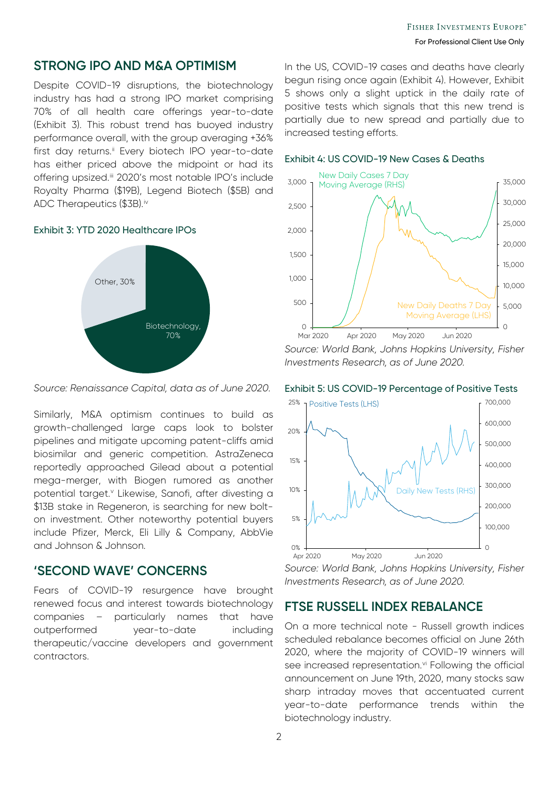## **STRONG IPO AND M&A OPTIMISM**

Despite COVID-19 disruptions, the biotechnology industry has had a strong IPO market comprising 70% of all health care offerings year-to-date (Exhibit 3). This robust trend has buoyed industry performance overall, with the group averaging +36% first day returns.<sup>[ii](#page-3-1)</sup> Every biotech IPO year-to-date has either priced above the midpoint or had its offering upsized.<sup>ii</sup> 2020's most notable IPO's include Royalty Pharma (\$19B), Legend Biotech (\$5B) and ADC Therapeutics (\$3B).<sup>iv</sup>

#### Exhibit 3: YTD 2020 Healthcare IPOs



*Source: Renaissance Capital, data as of June 2020.*

Similarly, M&A optimism continues to build as growth-challenged large caps look to bolster pipelines and mitigate upcoming patent-cliffs amid biosimilar and generic competition. AstraZeneca reportedly approached Gilead about a potential mega-merger, with Biogen rumored as another potential target.<sup>[v](#page-3-4)</sup> Likewise, Sanofi, after divesting a \$13B stake in Regeneron, is searching for new bolton investment. Other noteworthy potential buyers include Pfizer, Merck, Eli Lilly & Company, AbbVie and Johnson & Johnson.

## **'SECOND WAVE' CONCERNS**

Fears of COVID-19 resurgence have brought renewed focus and interest towards biotechnology companies – particularly names that have outperformed year-to-date including therapeutic/vaccine developers and government contractors.

In the US, COVID-19 cases and deaths have clearly begun rising once again (Exhibit 4). However, Exhibit 5 shows only a slight uptick in the daily rate of positive tests which signals that this new trend is partially due to new spread and partially due to increased testing efforts.

### Exhibit 4: US COVID-19 New Cases & Deaths



*Source: World Bank, Johns Hopkins University, Fisher Investments Research, as of June 2020.*







## **FTSE RUSSELL INDEX REBALANCE**

On a more technical note - Russell growth indices scheduled rebalance becomes official on June 26th 2020, where the majority of COVID-19 winners will see increased representation.<sup>[vi](#page-3-5)</sup> Following the official announcement on June 19th, 2020, many stocks saw sharp intraday moves that accentuated current year-to-date performance trends within the biotechnology industry.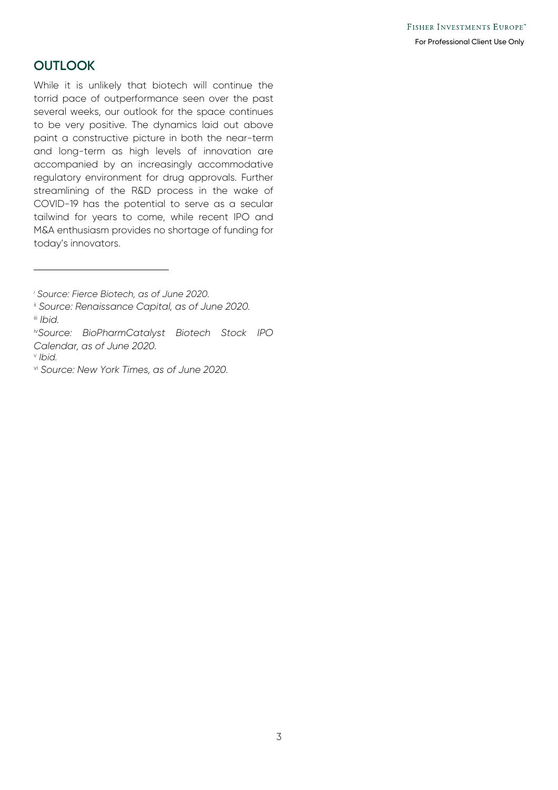## **OUTLOOK**

While it is unlikely that biotech will continue the torrid pace of outperformance seen over the past several weeks, our outlook for the space continues to be very positive. The dynamics laid out above paint a constructive picture in both the near-term and long-term as high levels of innovation are accompanied by an increasingly accommodative regulatory environment for drug approvals. Further streamlining of the R&D process in the wake of COVID-19 has the potential to serve as a secular tailwind for years to come, while recent IPO and M&A enthusiasm provides no shortage of funding for today's innovators.

<sup>v</sup> *Ibid.*

-

*<sup>i</sup> Source: Fierce Biotech, as of June 2020.*

ii *Source: Renaissance Capital, as of June 2020.* iii *Ibid.*

iv*Source: BioPharmCatalyst Biotech Stock IPO Calendar, as of June 2020.*

vi *Source: New York Times, as of June 2020.*